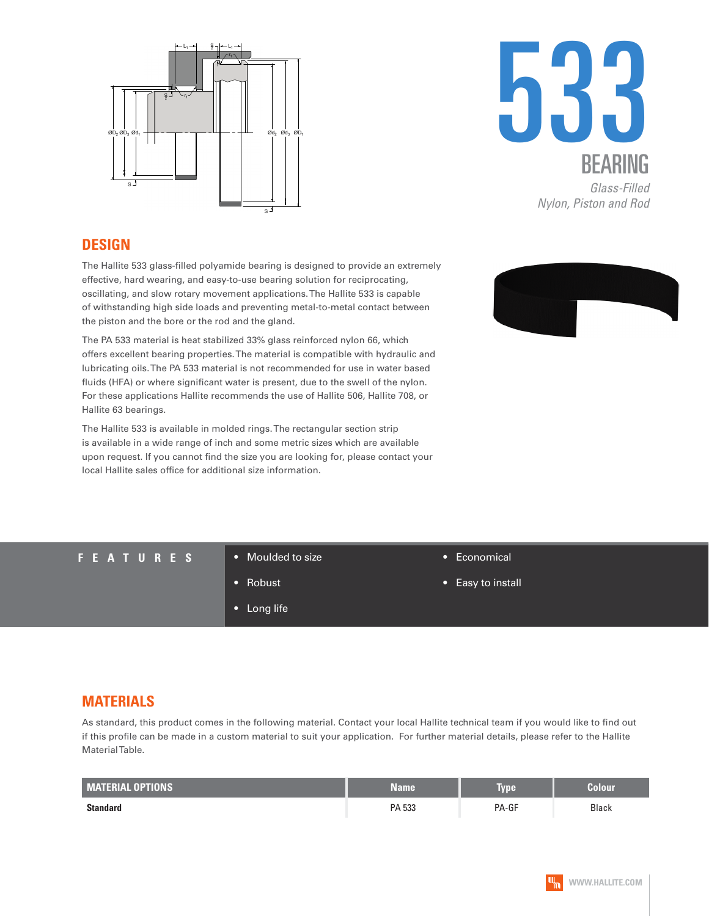



#### **DESIGN**

The Hallite 533 glass-filled polyamide bearing is designed to provide an extremely effective, hard wearing, and easy-to-use bearing solution for reciprocating, oscillating, and slow rotary movement applications. The Hallite 533 is capable of withstanding high side loads and preventing metal-to-metal contact between the piston and the bore or the rod and the gland.

The PA 533 material is heat stabilized 33% glass reinforced nylon 66, which offers excellent bearing properties. The material is compatible with hydraulic and lubricating oils. The PA 533 material is not recommended for use in water based fluids (HFA) or where significant water is present, due to the swell of the nylon. For these applications Hallite recommends the use of Hallite 506, Hallite 708, or Hallite 63 bearings.

The Hallite 533 is available in molded rings. The rectangular section strip is available in a wide range of inch and some metric sizes which are available upon request. If you cannot find the size you are looking for, please contact your local Hallite sales office for additional size information.



**FEATURES** • Moulded to size

- 
- Robust
- Long life
- Economical
- Easy to install

### **MATERIALS**

As standard, this product comes in the following material. Contact your local Hallite technical team if you would like to find out if this profile can be made in a custom material to suit your application. For further material details, please refer to the Hallite Material Table.

| <b>MATERIAL OPTIONS</b> | Name   | Type  | Colour       |
|-------------------------|--------|-------|--------------|
| <b>Standard</b>         | PA 533 | PA-GF | <b>Black</b> |

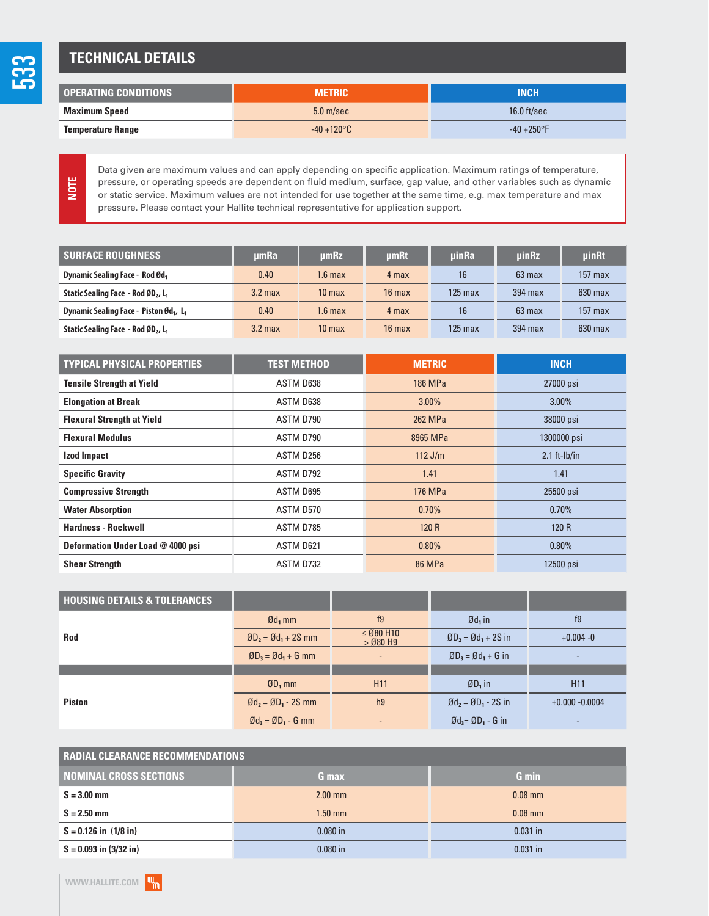# **TECHNICAL DETAILS**

| I OPERATING CONDITIONS   | <b>METRIC</b>        | INCH           |
|--------------------------|----------------------|----------------|
| Maximum Speed            | 5.0 <sub>m/sec</sub> | 16.0 $ft/sec$  |
| <b>Temperature Range</b> | $-40 + 120$ °C       | $-40 + 250$ °F |

**NOTE**

Data given are maximum values and can apply depending on specific application. Maximum ratings of temperature, pressure, or operating speeds are dependent on fluid medium, surface, gap value, and other variables such as dynamic or static service. Maximum values are not intended for use together at the same time, e.g. max temperature and max pressure. Please contact your Hallite technical representative for application support.

| <b>SURFACE ROUGHNESS</b>                                       | umRa      | umRz              | <b>umRt</b>      | uinRa     | uinRz     | uinRt     |
|----------------------------------------------------------------|-----------|-------------------|------------------|-----------|-----------|-----------|
| <b>Dynamic Sealing Face - Rod Ød</b> ,                         | 0.40      | $1.6 \text{ max}$ | 4 max            | 16        | $63$ max  | $157$ max |
| Static Sealing Face - Rod ØD <sub>2</sub> , L <sub>1</sub>     | $3.2$ max | 10 <sub>max</sub> | $16$ max         | $125$ max | $394$ max | $630$ max |
| Dynamic Sealing Face - Piston Ød <sub>1</sub> , L <sub>1</sub> | 0.40      | $1.6 \text{ max}$ | 4 max            | 16        | $63$ max  | $157$ max |
| Static Sealing Face - Rod ØD <sub>2</sub> , L <sub>1</sub>     | $3.2$ max | 10 <sub>max</sub> | $16 \text{ max}$ | $125$ max | 394 max   | $630$ max |

| <b>TYPICAL PHYSICAL PROPERTIES</b> | <b>TEST METHOD</b> | <b>METRIC</b> | <b>INCH</b>    |
|------------------------------------|--------------------|---------------|----------------|
| <b>Tensile Strength at Yield</b>   | ASTM D638          | 186 MPa       | 27000 psi      |
| <b>Elongation at Break</b>         | ASTM D638          | $3.00\%$      | $3.00\%$       |
| <b>Flexural Strength at Yield</b>  | ASTM D790          | 262 MPa       | 38000 psi      |
| <b>Flexural Modulus</b>            | ASTM D790          | 8965 MPa      | 1300000 psi    |
| Izod Impact                        | ASTM D256          | $112$ J/m     | $2.1$ ft-lb/in |
| <b>Specific Gravity</b>            | ASTM D792          | 1.41          | 1.41           |
| <b>Compressive Strength</b>        | ASTM D695          | 176 MPa       | 25500 psi      |
| <b>Water Absorption</b>            | ASTM D570          | 0.70%         | 0.70%          |
| <b>Hardness - Rockwell</b>         | ASTM D785          | 120 R         | 120 R          |
| Deformation Under Load @ 4000 psi  | ASTM D621          | $0.80\%$      | 0.80%          |
| <b>Shear Strength</b>              | ASTM D732          | <b>86 MPa</b> | 12500 psi      |

| <b>HOUSING DETAILS &amp; TOLERANCES</b> |                                                                |                              |                                                                 |                   |
|-----------------------------------------|----------------------------------------------------------------|------------------------------|-----------------------------------------------------------------|-------------------|
|                                         | $\mathfrak{gd}_1$ mm                                           | f9                           | $\mathfrak{gd}_1$ in                                            | f9                |
| <b>Rod</b>                              | $ØD2 = Ød1 + 2S mm$                                            | $\leq$ Ø80 H10<br>$>$ Ø80 H9 | $ØD2 = Ød1 + 2S$ in                                             | $+0.004 - 0$      |
|                                         | $ØD_3 = Ød_1 + G$ mm                                           | $\overline{\phantom{a}}$     | $ØD_3 = Ød_1 + G$ in                                            | ٠                 |
|                                         |                                                                |                              |                                                                 |                   |
|                                         | $ØD_1$ mm                                                      | H <sub>11</sub>              | $ØD1$ in                                                        | H <sub>11</sub>   |
| <b>Piston</b>                           | $\mathfrak{gd}_2 = \mathfrak{g}D_1 - 2S$ mm                    | h <sub>9</sub>               | $\emptyset$ d <sub>2</sub> = $\emptyset$ D <sub>1</sub> - 2S in | $+0.000 - 0.0004$ |
|                                         | $\emptyset$ d <sub>3</sub> = $\emptyset$ D <sub>1</sub> - G mm |                              | $\emptyset$ d <sub>3</sub> = $\emptyset$ D <sub>1</sub> - G in  |                   |

| <b>RADIAL CLEARANCE RECOMMENDATIONS</b> |            |              |  |  |
|-----------------------------------------|------------|--------------|--|--|
| <b>NOMINAL CROSS SECTIONS</b>           | G max      | <b>G</b> min |  |  |
| $S = 3.00$ mm                           | $2.00$ mm  | $0.08$ mm    |  |  |
| $S = 2.50$ mm                           | $1.50$ mm  | $0.08$ mm    |  |  |
| $S = 0.126$ in $(1/8$ in)               | $0.080$ in | $0.031$ in   |  |  |
| $S = 0.093$ in $(3/32$ in)              | $0.080$ in | $0.031$ in   |  |  |

533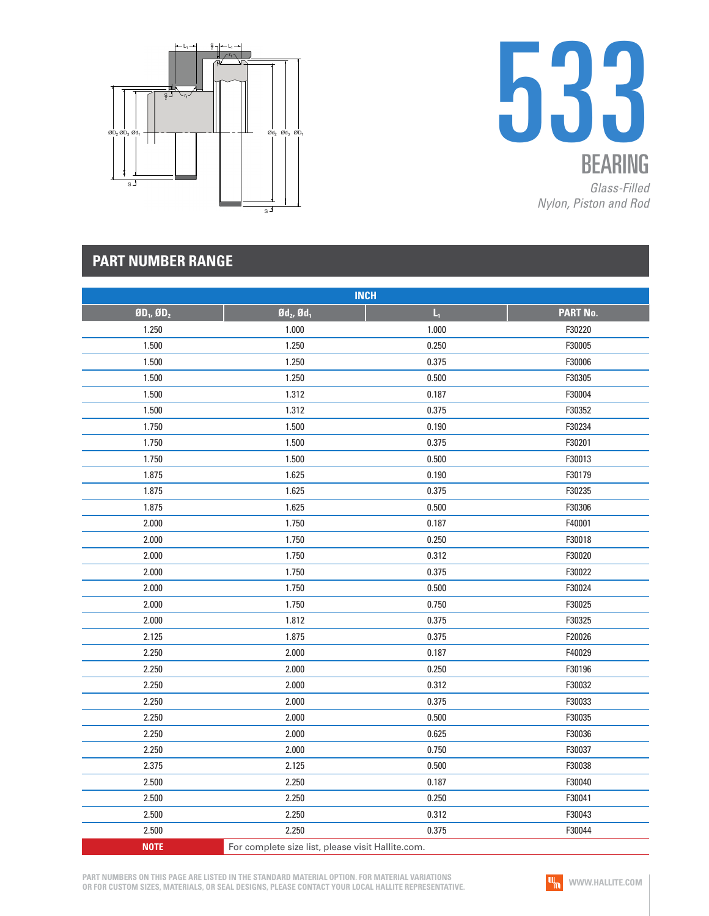



| <b>INCH</b>     |                                                   |       |          |  |
|-----------------|---------------------------------------------------|-------|----------|--|
| $BD_1$ , $BD_2$ | $\mathfrak{gd}_2$ , $\mathfrak{gd}_1$             | $L_1$ | PART No. |  |
| 1.250           | 1.000                                             | 1.000 | F30220   |  |
| 1.500           | 1.250                                             | 0.250 | F30005   |  |
| 1.500           | 1.250                                             | 0.375 | F30006   |  |
| 1.500           | 1.250                                             | 0.500 | F30305   |  |
| 1.500           | 1.312                                             | 0.187 | F30004   |  |
| 1.500           | 1.312                                             | 0.375 | F30352   |  |
| 1.750           | 1.500                                             | 0.190 | F30234   |  |
| 1.750           | 1.500                                             | 0.375 | F30201   |  |
| 1.750           | 1.500                                             | 0.500 | F30013   |  |
| 1.875           | 1.625                                             | 0.190 | F30179   |  |
| 1.875           | 1.625                                             | 0.375 | F30235   |  |
| 1.875           | 1.625                                             | 0.500 | F30306   |  |
| 2.000           | 1.750                                             | 0.187 | F40001   |  |
| 2.000           | 1.750                                             | 0.250 | F30018   |  |
| 2.000           | 1.750                                             | 0.312 | F30020   |  |
| 2.000           | 1.750                                             | 0.375 | F30022   |  |
| 2.000           | 1.750                                             | 0.500 | F30024   |  |
| 2.000           | 1.750                                             | 0.750 | F30025   |  |
| 2.000           | 1.812                                             | 0.375 | F30325   |  |
| 2.125           | 1.875                                             | 0.375 | F20026   |  |
| 2.250           | 2.000                                             | 0.187 | F40029   |  |
| 2.250           | 2.000                                             | 0.250 | F30196   |  |
| 2.250           | 2.000                                             | 0.312 | F30032   |  |
| 2.250           | 2.000                                             | 0.375 | F30033   |  |
| 2.250           | 2.000                                             | 0.500 | F30035   |  |
| 2.250           | 2.000                                             | 0.625 | F30036   |  |
| 2.250           | 2.000                                             | 0.750 | F30037   |  |
| 2.375           | 2.125                                             | 0.500 | F30038   |  |
| 2.500           | 2.250                                             | 0.187 | F30040   |  |
| 2.500           | 2.250                                             | 0.250 | F30041   |  |
| 2.500           | 2.250                                             | 0.312 | F30043   |  |
| 2.500           | 2.250                                             | 0.375 | F30044   |  |
| <b>NOTE</b>     | For complete size list, please visit Hallite.com. |       |          |  |

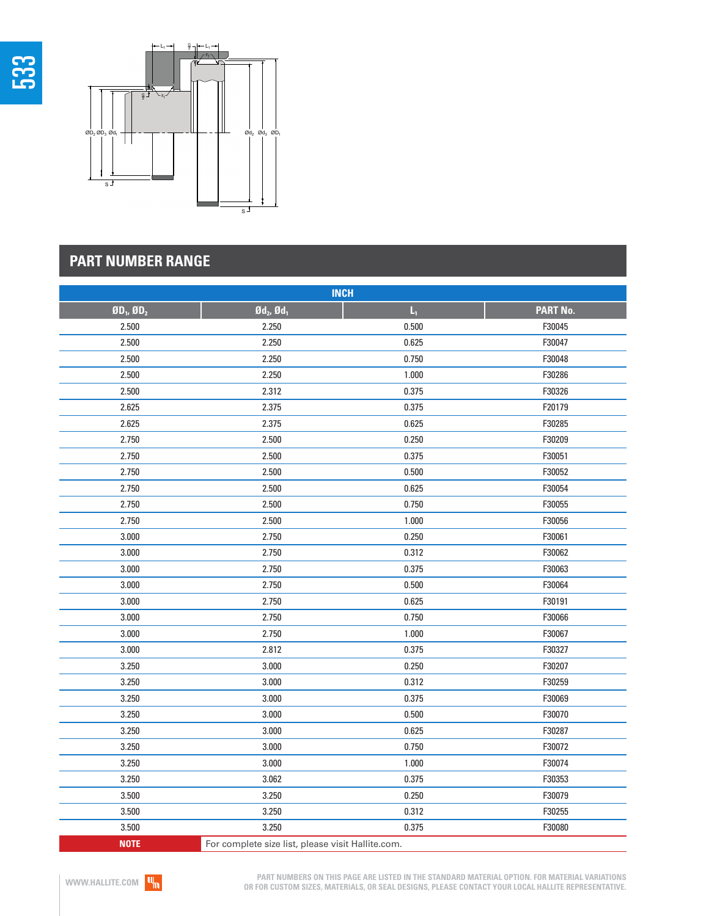



| <b>INCH</b>     |                                                   |       |                 |  |
|-----------------|---------------------------------------------------|-------|-----------------|--|
| $$0D_1, $0D_2$$ | $\mathfrak{gd}_2$ , $\mathfrak{gd}_1$             | $L_1$ | <b>PART No.</b> |  |
| 2.500           | 2.250                                             | 0.500 | F30045          |  |
| 2.500           | 2.250                                             | 0.625 | F30047          |  |
| 2.500           | 2.250                                             | 0.750 | F30048          |  |
| 2.500           | 2.250                                             | 1.000 | F30286          |  |
| 2.500           | 2.312                                             | 0.375 | F30326          |  |
| 2.625           | 2.375                                             | 0.375 | F20179          |  |
| 2.625           | 2.375                                             | 0.625 | F30285          |  |
| 2.750           | 2.500                                             | 0.250 | F30209          |  |
| 2.750           | 2.500                                             | 0.375 | F30051          |  |
| 2.750           | 2.500                                             | 0.500 | F30052          |  |
| 2.750           | 2.500                                             | 0.625 | F30054          |  |
| 2.750           | 2.500                                             | 0.750 | F30055          |  |
| 2.750           | 2.500                                             | 1.000 | F30056          |  |
| 3.000           | 2.750                                             | 0.250 | F30061          |  |
| 3.000           | 2.750                                             | 0.312 | F30062          |  |
| 3.000           | 2.750                                             | 0.375 | F30063          |  |
| 3.000           | 2.750                                             | 0.500 | F30064          |  |
| 3.000           | 2.750                                             | 0.625 | F30191          |  |
| 3.000           | 2.750                                             | 0.750 | F30066          |  |
| 3.000           | 2.750                                             | 1.000 | F30067          |  |
| 3.000           | 2.812                                             | 0.375 | F30327          |  |
| 3.250           | 3.000                                             | 0.250 | F30207          |  |
| 3.250           | 3.000                                             | 0.312 | F30259          |  |
| 3.250           | 3.000                                             | 0.375 | F30069          |  |
| 3.250           | 3.000                                             | 0.500 | F30070          |  |
| 3.250           | 3.000                                             | 0.625 | F30287          |  |
| 3.250           | 3.000                                             | 0.750 | F30072          |  |
| 3.250           | 3.000                                             | 1.000 | F30074          |  |
| 3.250           | 3.062                                             | 0.375 | F30353          |  |
| 3.500           | 3.250                                             | 0.250 | F30079          |  |
| 3.500           | 3.250                                             | 0.312 | F30255          |  |
| 3.500           | 3.250                                             | 0.375 | F30080          |  |
| <b>NOTE</b>     | For complete size list, please visit Hallite.com. |       |                 |  |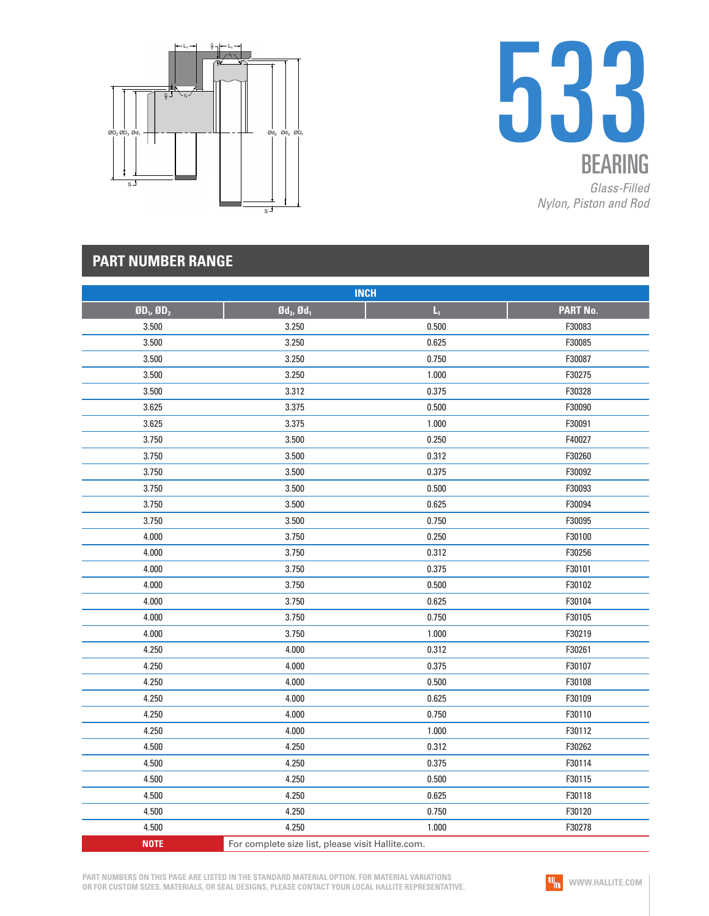



| <b>INCH</b>     |                                                   |       |          |  |
|-----------------|---------------------------------------------------|-------|----------|--|
| $BD_1$ , $BD_2$ | $\mathfrak{gd}_2$ , $\mathfrak{gd}_1$             | $L_1$ | PART No. |  |
| 3.500           | 3.250                                             | 0.500 | F30083   |  |
| 3.500           | 3.250                                             | 0.625 | F30085   |  |
| 3.500           | 3.250                                             | 0.750 | F30087   |  |
| 3.500           | 3.250                                             | 1.000 | F30275   |  |
| 3.500           | 3.312                                             | 0.375 | F30328   |  |
| 3.625           | 3.375                                             | 0.500 | F30090   |  |
| 3.625           | 3.375                                             | 1.000 | F30091   |  |
| 3.750           | 3.500                                             | 0.250 | F40027   |  |
| 3.750           | 3.500                                             | 0.312 | F30260   |  |
| 3.750           | 3.500                                             | 0.375 | F30092   |  |
| 3.750           | 3.500                                             | 0.500 | F30093   |  |
| 3.750           | 3.500                                             | 0.625 | F30094   |  |
| 3.750           | 3.500                                             | 0.750 | F30095   |  |
| 4.000           | 3.750                                             | 0.250 | F30100   |  |
| 4.000           | 3.750                                             | 0.312 | F30256   |  |
| 4.000           | 3.750                                             | 0.375 | F30101   |  |
| 4.000           | 3.750                                             | 0.500 | F30102   |  |
| 4.000           | 3.750                                             | 0.625 | F30104   |  |
| 4.000           | 3.750                                             | 0.750 | F30105   |  |
| 4.000           | 3.750                                             | 1.000 | F30219   |  |
| 4.250           | 4.000                                             | 0.312 | F30261   |  |
| 4.250           | 4.000                                             | 0.375 | F30107   |  |
| 4.250           | 4.000                                             | 0.500 | F30108   |  |
| 4.250           | 4.000                                             | 0.625 | F30109   |  |
| 4.250           | 4.000                                             | 0.750 | F30110   |  |
| 4.250           | 4.000                                             | 1.000 | F30112   |  |
| 4.500           | 4.250                                             | 0.312 | F30262   |  |
| 4.500           | 4.250                                             | 0.375 | F30114   |  |
| 4.500           | 4.250                                             | 0.500 | F30115   |  |
| 4.500           | 4.250                                             | 0.625 | F30118   |  |
| 4.500           | 4.250                                             | 0.750 | F30120   |  |
| 4.500           | 4.250                                             | 1.000 | F30278   |  |
| <b>NOTE</b>     | For complete size list, please visit Hallite.com. |       |          |  |

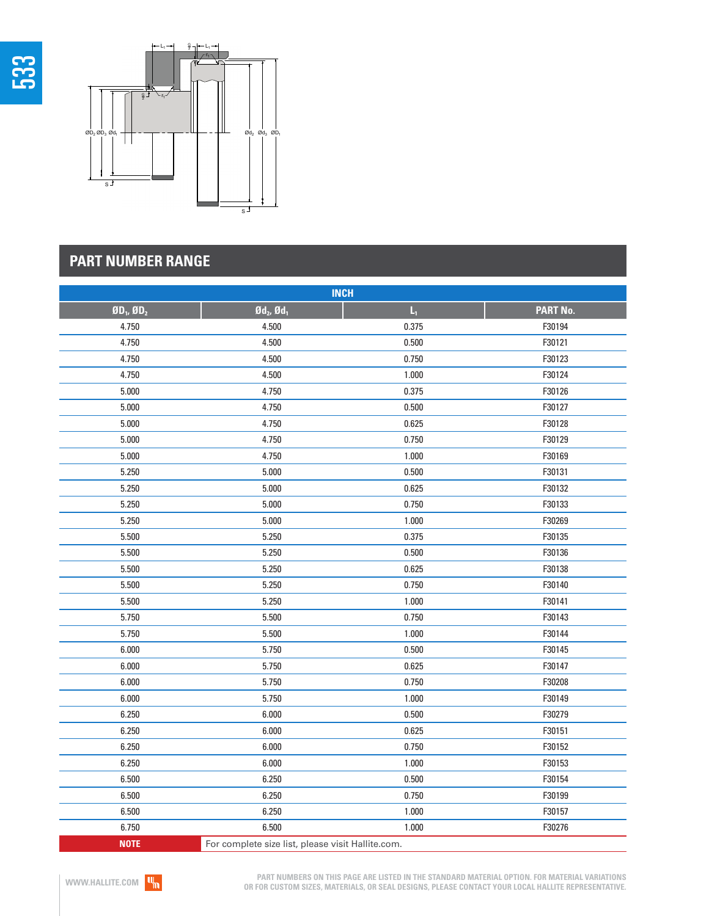



| <b>INCH</b>     |                                                   |       |          |  |
|-----------------|---------------------------------------------------|-------|----------|--|
| $BD_1$ , $BD_2$ | $\mathfrak{gd}_2$ , $\mathfrak{gd}_1$             | $L_1$ | PART No. |  |
| 4.750           | 4.500                                             | 0.375 | F30194   |  |
| 4.750           | 4.500                                             | 0.500 | F30121   |  |
| 4.750           | 4.500                                             | 0.750 | F30123   |  |
| 4.750           | 4.500                                             | 1.000 | F30124   |  |
| 5.000           | 4.750                                             | 0.375 | F30126   |  |
| 5.000           | 4.750                                             | 0.500 | F30127   |  |
| 5.000           | 4.750                                             | 0.625 | F30128   |  |
| 5.000           | 4.750                                             | 0.750 | F30129   |  |
| 5.000           | 4.750                                             | 1.000 | F30169   |  |
| 5.250           | 5.000                                             | 0.500 | F30131   |  |
| 5.250           | 5.000                                             | 0.625 | F30132   |  |
| 5.250           | 5.000                                             | 0.750 | F30133   |  |
| 5.250           | 5.000                                             | 1.000 | F30269   |  |
| 5.500           | 5.250                                             | 0.375 | F30135   |  |
| 5.500           | 5.250                                             | 0.500 | F30136   |  |
| 5.500           | 5.250                                             | 0.625 | F30138   |  |
| 5.500           | 5.250                                             | 0.750 | F30140   |  |
| 5.500           | 5.250                                             | 1.000 | F30141   |  |
| 5.750           | 5.500                                             | 0.750 | F30143   |  |
| 5.750           | 5.500                                             | 1.000 | F30144   |  |
| 6.000           | 5.750                                             | 0.500 | F30145   |  |
| 6.000           | 5.750                                             | 0.625 | F30147   |  |
| 6.000           | 5.750                                             | 0.750 | F30208   |  |
| 6.000           | 5.750                                             | 1.000 | F30149   |  |
| 6.250           | 6.000                                             | 0.500 | F30279   |  |
| 6.250           | 6.000                                             | 0.625 | F30151   |  |
| 6.250           | 6.000                                             | 0.750 | F30152   |  |
| 6.250           | 6.000                                             | 1.000 | F30153   |  |
| 6.500           | 6.250                                             | 0.500 | F30154   |  |
| 6.500           | 6.250                                             | 0.750 | F30199   |  |
| 6.500           | 6.250                                             | 1.000 | F30157   |  |
| 6.750           | 6.500                                             | 1.000 | F30276   |  |
| <b>NOTE</b>     | For complete size list, please visit Hallite.com. |       |          |  |